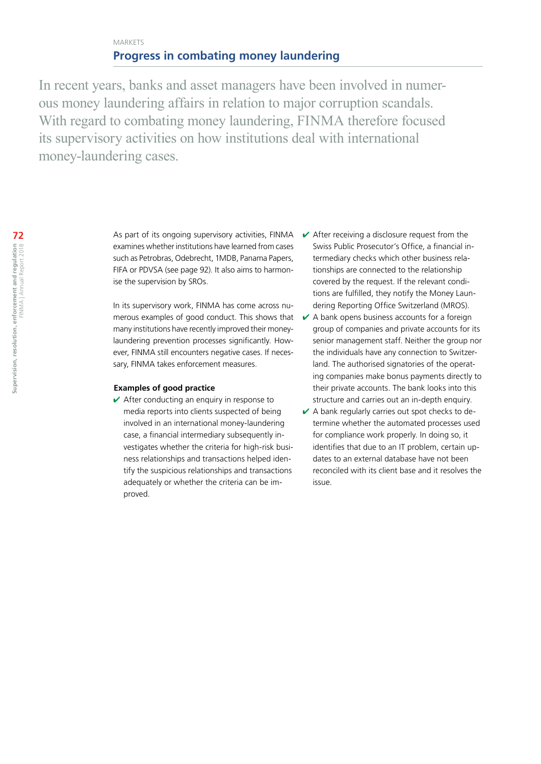# MARKETS **Progress in combating money laundering**

In recent years, banks and asset managers have been involved in numerous money laundering affairs in relation to major corruption scandals. With regard to combating money laundering, FINMA therefore focused its supervisory activities on how institutions deal with international money-laundering cases.

> As part of its ongoing supervisory activities, FINMA examines whether institutions have learned from cases such as Petrobras, Odebrecht, 1MDB, Panama Papers, FIFA or PDVSA [\(see page 92\)](#page--1-0). It also aims to harmonise the supervision by SROs.

In its supervisory work, FINMA has come across numerous examples of good conduct. This shows that many institutions have recently improved their moneylaundering prevention processes significantly. However, FINMA still encounters negative cases. If necessary, FINMA takes enforcement measures.

### **Examples of good practice**

 $\vee$  After conducting an enquiry in response to media reports into clients suspected of being involved in an international money-laundering case, a financial intermediary subsequently investigates whether the criteria for high-risk business relationships and transactions helped identify the suspicious relationships and transactions adequately or whether the criteria can be improved.

- $\vee$  After receiving a disclosure request from the Swiss Public Prosecutor's Office, a financial intermediary checks which other business relationships are connected to the relationship covered by the request. If the relevant conditions are fulfilled, they notify the Money Laundering Reporting Office Switzerland (MROS).
- $\vee$  A bank opens business accounts for a foreign group of companies and private accounts for its senior management staff. Neither the group nor the individuals have any connection to Switzerland. The authorised signatories of the operating companies make bonus payments directly to their private accounts. The bank looks into this structure and carries out an in-depth enquiry.
- $\vee$  A bank regularly carries out spot checks to determine whether the automated processes used for compliance work properly. In doing so, it identifies that due to an IT problem, certain updates to an external database have not been reconciled with its client base and it resolves the issue.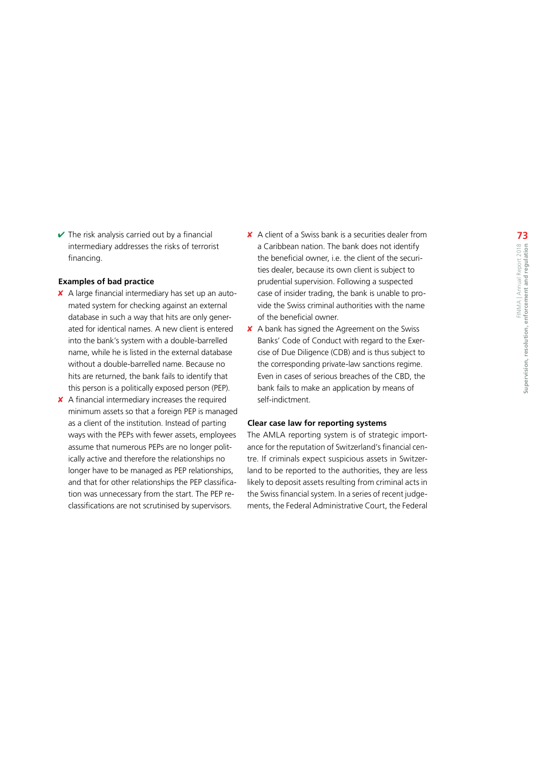$\vee$  The risk analysis carried out by a financial intermediary addresses the risks of terrorist financing.

#### **Examples of bad practice**

- ✘ A large financial intermediary has set up an automated system for checking against an external database in such a way that hits are only generated for identical names. A new client is entered into the bank's system with a double-barrelled name, while he is listed in the external database without a double-barrelled name. Because no hits are returned, the bank fails to identify that this person is a politically exposed person (PEP).
- ✘ A financial intermediary increases the required minimum assets so that a foreign PEP is managed as a client of the institution. Instead of parting ways with the PEPs with fewer assets, employees assume that numerous PEPs are no longer politically active and therefore the relationships no longer have to be managed as PEP relationships, and that for other relationships the PEP classification was unnecessary from the start. The PEP reclassifications are not scrutinised by supervisors.
- ✘ A client of a Swiss bank is a securities dealer from a Caribbean nation. The bank does not identify the beneficial owner, i.e. the client of the securities dealer, because its own client is subject to prudential supervision. Following a suspected case of insider trading, the bank is unable to provide the Swiss criminal authorities with the name of the beneficial owner.
- ✘ A bank has signed the Agreement on the Swiss Banks' Code of Conduct with regard to the Exercise of Due Diligence (CDB) and is thus subject to the corresponding private-law sanctions regime. Even in cases of serious breaches of the CBD, the bank fails to make an application by means of self-indictment.

#### **Clear case law for reporting systems**

The AMLA reporting system is of strategic importance for the reputation of Switzerland's financial centre. If criminals expect suspicious assets in Switzerland to be reported to the authorities, they are less likely to deposit assets resulting from criminal acts in the Swiss financial system. In a series of recent judgements, the Federal Administrative Court, the Federal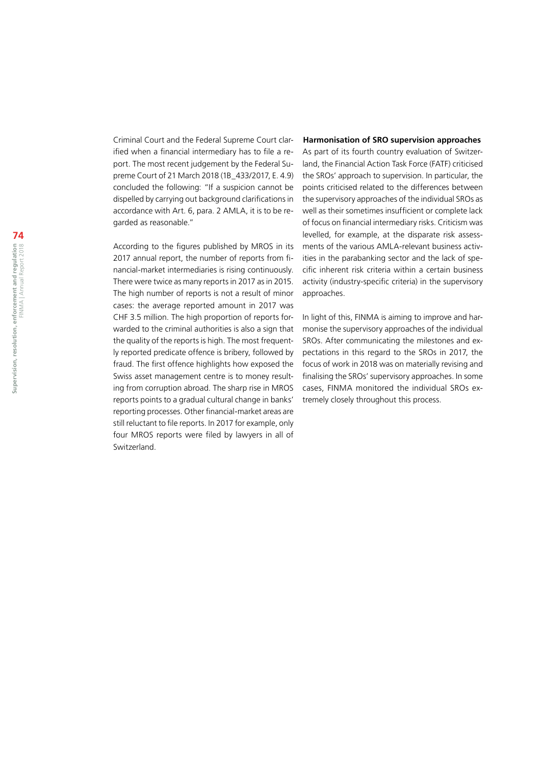Criminal Court and the Federal Supreme Court clarified when a financial intermediary has to file a report. The most recent judgement by the Federal Supreme Court of 21 March 2018 (1B\_433/2017, E. 4.9) concluded the following: "If a suspicion cannot be dispelled by carrying out background clarifications in accordance with Art. 6, para. 2 AMLA, it is to be regarded as reasonable."

According to the figures published by MROS in its 2017 annual report, the number of reports from financial-market intermediaries is rising continuously. There were twice as many reports in 2017 as in 2015. The high number of reports is not a result of minor cases: the average reported amount in 2017 was CHF 3.5 million. The high proportion of reports forwarded to the criminal authorities is also a sign that the quality of the reports is high. The most frequently reported predicate offence is bribery, followed by fraud. The first offence highlights how exposed the Swiss asset management centre is to money resulting from corruption abroad. The sharp rise in MROS reports points to a gradual cultural change in banks' reporting processes. Other financial-market areas are still reluctant to file reports. In 2017 for example, only four MROS reports were filed by lawyers in all of Switzerland.

**Harmonisation of SRO supervision approaches**

As part of its fourth country evaluation of Switzerland, the Financial Action Task Force (FATF) criticised the SROs' approach to supervision. In particular, the points criticised related to the differences between the supervisory approaches of the individual SROs as well as their sometimes insufficient or complete lack of focus on financial intermediary risks. Criticism was levelled, for example, at the disparate risk assessments of the various AMLA-relevant business activities in the parabanking sector and the lack of specific inherent risk criteria within a certain business activity (industry-specific criteria) in the supervisory approaches.

In light of this, FINMA is aiming to improve and harmonise the supervisory approaches of the individual SROs. After communicating the milestones and expectations in this regard to the SROs in 2017, the focus of work in 2018 was on materially revising and finalising the SROs' supervisory approaches. In some cases, FINMA monitored the individual SROs extremely closely throughout this process.